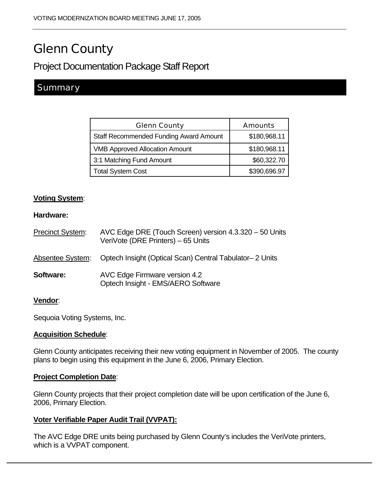# Glenn County

## Project Documentation Package Staff Report

### **Summary**

| <b>Glenn County</b>                           | <b>Amounts</b> |
|-----------------------------------------------|----------------|
| <b>Staff Recommended Funding Award Amount</b> | \$180,968.11   |
| <b>VMB Approved Allocation Amount</b>         | \$180,968.11   |
| 3:1 Matching Fund Amount                      | \$60,322.70    |
| <b>Total System Cost</b>                      | \$390,696.97   |

#### **Voting System**:

#### **Hardware:**

| <b>Precinct System:</b> | AVC Edge DRE (Touch Screen) version 4.3.320 - 50 Units<br>VeriVote (DRE Printers) - 65 Units |
|-------------------------|----------------------------------------------------------------------------------------------|
| Absentee System:        | Optech Insight (Optical Scan) Central Tabulator-2 Units                                      |
| Software:               | AVC Edge Firmware version 4.2<br>Optech Insight - EMS/AERO Software                          |

#### **Vendor**:

Sequoia Voting Systems, Inc.

#### **Acquisition Schedule**:

Glenn County anticipates receiving their new voting equipment in November of 2005. The county plans to begin using this equipment in the June 6, 2006, Primary Election.

#### **Project Completion Date**:

Glenn County projects that their project completion date will be upon certification of the June 6, 2006, Primary Election.

#### **Voter Verifiable Paper Audit Trail (VVPAT):**

The AVC Edge DRE units being purchased by Glenn County's includes the VeriVote printers, which is a VVPAT component.